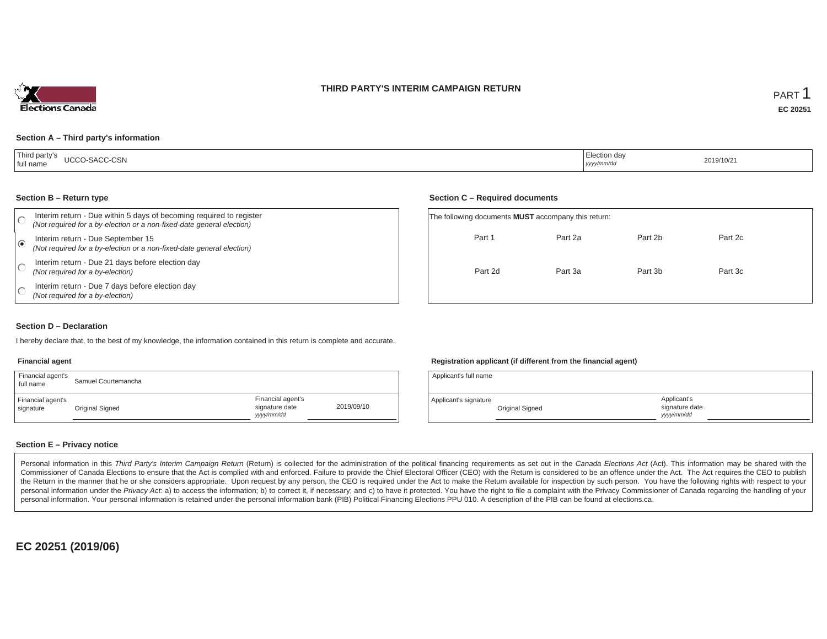



### **Section A – Third party's information**

| <sup>1</sup> Thir.<br>ra party s<br>UCCO-SACC-CSN<br>full name | Election day<br>yyyy/mm/dd | 2019/10/2 |
|----------------------------------------------------------------|----------------------------|-----------|
|----------------------------------------------------------------|----------------------------|-----------|

#### **Section B – Return type**

| Interim return - Due within 5 days of becoming required to register<br>(Not required for a by-election or a non-fixed-date general election) | The following documents <b>MUST</b> accompany this return: |         |
|----------------------------------------------------------------------------------------------------------------------------------------------|------------------------------------------------------------|---------|
| Interim return - Due September 15<br>(Not required for a by-election or a non-fixed-date general election)                                   | Part 2b<br>Part 1<br>Part 2a                               | Part 2c |
| Interim return - Due 21 days before election day<br>(Not required for a by-election)                                                         | Part 3b<br>Part 2d<br>Part 3a                              | Part 3c |
| Interim return - Due 7 days before election day<br>(Not required for a by-election)                                                          |                                                            |         |

#### **Section D – Declaration**

I hereby declare that, to the best of my knowledge, the information contained in this return is complete and accurate.

### **Financial agent**

| Financial agent's<br>full name | Samuel Courtemancha |                                                   |            | Applicant's full name                    |  |
|--------------------------------|---------------------|---------------------------------------------------|------------|------------------------------------------|--|
| Financial agent's<br>signature | Original Signed     | Financial agent's<br>signature date<br>yyyy/mm/dd | 2019/09/10 | Applicant's signature<br>Original Signec |  |

#### **Registration applicant (if different from the financial agent)**

**Section C – Required documents**

| Applicant's full name |                 |                                             |  |
|-----------------------|-----------------|---------------------------------------------|--|
| Applicant's signature | Original Signed | Applicant's<br>signature date<br>vyyy/mm/dd |  |

### **Section E – Privacy notice**

Personal information in this Third Party's Interim Campaign Return (Return) is collected for the administration of the political financing requirements as set out in the Canada Elections Act (Act). This information may be Commissioner of Canada Elections to ensure that the Act is complied with and enforced. Failure to provide the Chief Electoral Officer (CEO) with the Return is considered to be an offence under the Act. The Act requires the the Return in the manner that he or she considers appropriate. Upon request by any person, the CEO is required under the Act to make the Return available for inspection by such person. You have the following rights with re personal information under the Privacy Act. a) to access the information; b) to correct it, if necessary; and c) to have it protected. You have the right to file a complaint with the Privacy Commissioner of Canada regardin personal information. Your personal information is retained under the personal information bank (PIB) Political Financing Elections PPU 010. A description of the PIB can be found at elections.ca.

**EC 20251 (2019/06)**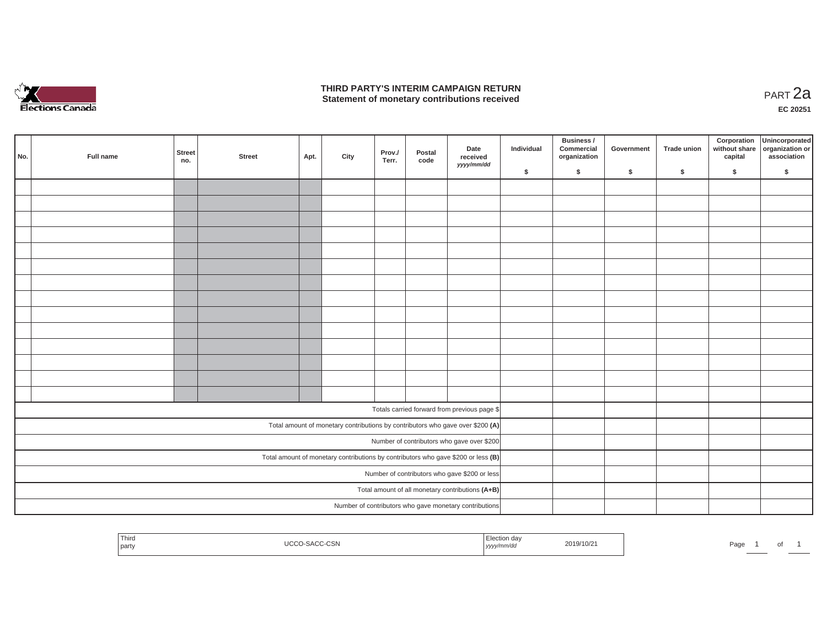

### **THIRD PARTY'S INTERIM CAMPAIGN RETURN**  THIRD PARTY'S INTERIM CAMPAIGN RETURN<br>Statement of monetary contributions received

**EC 20251**

| No. | Full name                                                                           | <b>Street</b><br>no. | <b>Street</b> | Apt. | City | Prov./<br>Terr. | Postal<br>code | Date<br>received<br>yyyy/mm/dd                                                 | Individual | Business /<br>Commercial<br>organization | Government | Trade union | Corporation | Unincorporated<br>without share<br>capital dissociation or<br>association |
|-----|-------------------------------------------------------------------------------------|----------------------|---------------|------|------|-----------------|----------------|--------------------------------------------------------------------------------|------------|------------------------------------------|------------|-------------|-------------|---------------------------------------------------------------------------|
|     |                                                                                     |                      |               |      |      |                 |                |                                                                                | \$         | \$                                       | \$         | $\sqrt{2}$  | \$          | \$                                                                        |
|     |                                                                                     |                      |               |      |      |                 |                |                                                                                |            |                                          |            |             |             |                                                                           |
|     |                                                                                     |                      |               |      |      |                 |                |                                                                                |            |                                          |            |             |             |                                                                           |
|     |                                                                                     |                      |               |      |      |                 |                |                                                                                |            |                                          |            |             |             |                                                                           |
|     |                                                                                     |                      |               |      |      |                 |                |                                                                                |            |                                          |            |             |             |                                                                           |
|     |                                                                                     |                      |               |      |      |                 |                |                                                                                |            |                                          |            |             |             |                                                                           |
|     |                                                                                     |                      |               |      |      |                 |                |                                                                                |            |                                          |            |             |             |                                                                           |
|     |                                                                                     |                      |               |      |      |                 |                |                                                                                |            |                                          |            |             |             |                                                                           |
|     |                                                                                     |                      |               |      |      |                 |                |                                                                                |            |                                          |            |             |             |                                                                           |
|     |                                                                                     |                      |               |      |      |                 |                |                                                                                |            |                                          |            |             |             |                                                                           |
|     |                                                                                     |                      |               |      |      |                 |                |                                                                                |            |                                          |            |             |             |                                                                           |
|     |                                                                                     |                      |               |      |      |                 |                |                                                                                |            |                                          |            |             |             |                                                                           |
|     |                                                                                     |                      |               |      |      |                 |                |                                                                                |            |                                          |            |             |             |                                                                           |
|     |                                                                                     |                      |               |      |      |                 |                |                                                                                |            |                                          |            |             |             |                                                                           |
|     |                                                                                     |                      |               |      |      |                 |                |                                                                                |            |                                          |            |             |             |                                                                           |
|     |                                                                                     |                      |               |      |      |                 |                | Totals carried forward from previous page \$                                   |            |                                          |            |             |             |                                                                           |
|     |                                                                                     |                      |               |      |      |                 |                | Total amount of monetary contributions by contributors who gave over \$200 (A) |            |                                          |            |             |             |                                                                           |
|     |                                                                                     |                      |               |      |      |                 |                | Number of contributors who gave over \$200                                     |            |                                          |            |             |             |                                                                           |
|     | Total amount of monetary contributions by contributors who gave \$200 or less $(B)$ |                      |               |      |      |                 |                |                                                                                |            |                                          |            |             |             |                                                                           |
|     |                                                                                     |                      |               |      |      |                 |                | Number of contributors who gave \$200 or less                                  |            |                                          |            |             |             |                                                                           |
|     |                                                                                     |                      |               |      |      |                 |                | Total amount of all monetary contributions (A+B)                               |            |                                          |            |             |             |                                                                           |
|     |                                                                                     |                      |               |      |      |                 |                | Number of contributors who gave monetary contributions                         |            |                                          |            |             |             |                                                                           |

| Third<br>on a:<br>$\sim$<br>2019/10/2<br>Page<br>.<br>ורה ט-<br>. 17333337<br>party<br>$\cdots$<br>, yyyymmvaa | U |  |  |
|----------------------------------------------------------------------------------------------------------------|---|--|--|
|----------------------------------------------------------------------------------------------------------------|---|--|--|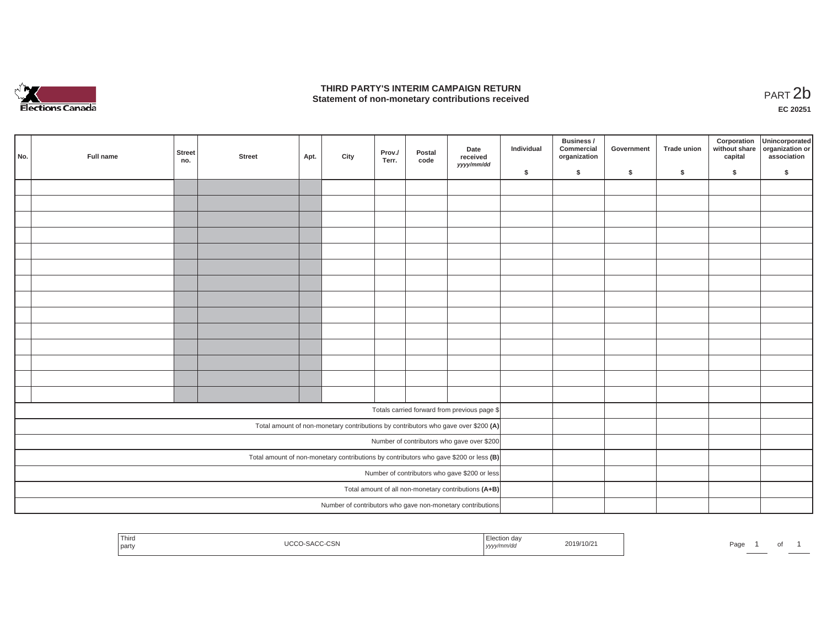

### **THIRD PARTY'S INTERIM CAMPAIGN RETURN STATE OF A STATE STATE STATE OF A STATE OF A STATE STATE STATE STATE STATE STATE STATE STATE STATE STATE STATE**<br>PART 2**b**

**EC 20251**

|                                            | No.                                                                                     | Full name                                     | <b>Street</b><br>no. | <b>Street</b> | Apt. | City | Prov./<br>Terr. | Postal<br>code | Date<br>received<br>yyyy/mm/dd                                                       | Individual | Business /<br>Commercial<br>organization | Government | Trade union | Corporation<br>capital | Unincorporated<br>without share organization or<br>association |
|--------------------------------------------|-----------------------------------------------------------------------------------------|-----------------------------------------------|----------------------|---------------|------|------|-----------------|----------------|--------------------------------------------------------------------------------------|------------|------------------------------------------|------------|-------------|------------------------|----------------------------------------------------------------|
|                                            |                                                                                         |                                               |                      |               |      |      |                 |                |                                                                                      | \$         | \$                                       | \$         | \$          | \$                     | \$                                                             |
|                                            |                                                                                         |                                               |                      |               |      |      |                 |                |                                                                                      |            |                                          |            |             |                        |                                                                |
|                                            |                                                                                         |                                               |                      |               |      |      |                 |                |                                                                                      |            |                                          |            |             |                        |                                                                |
|                                            |                                                                                         |                                               |                      |               |      |      |                 |                |                                                                                      |            |                                          |            |             |                        |                                                                |
|                                            |                                                                                         |                                               |                      |               |      |      |                 |                |                                                                                      |            |                                          |            |             |                        |                                                                |
|                                            |                                                                                         |                                               |                      |               |      |      |                 |                |                                                                                      |            |                                          |            |             |                        |                                                                |
|                                            |                                                                                         |                                               |                      |               |      |      |                 |                |                                                                                      |            |                                          |            |             |                        |                                                                |
|                                            |                                                                                         |                                               |                      |               |      |      |                 |                |                                                                                      |            |                                          |            |             |                        |                                                                |
|                                            |                                                                                         |                                               |                      |               |      |      |                 |                |                                                                                      |            |                                          |            |             |                        |                                                                |
|                                            |                                                                                         |                                               |                      |               |      |      |                 |                |                                                                                      |            |                                          |            |             |                        |                                                                |
|                                            |                                                                                         |                                               |                      |               |      |      |                 |                |                                                                                      |            |                                          |            |             |                        |                                                                |
|                                            |                                                                                         |                                               |                      |               |      |      |                 |                |                                                                                      |            |                                          |            |             |                        |                                                                |
|                                            |                                                                                         |                                               |                      |               |      |      |                 |                |                                                                                      |            |                                          |            |             |                        |                                                                |
|                                            |                                                                                         |                                               |                      |               |      |      |                 |                |                                                                                      |            |                                          |            |             |                        |                                                                |
|                                            |                                                                                         |                                               |                      |               |      |      |                 |                |                                                                                      |            |                                          |            |             |                        |                                                                |
|                                            |                                                                                         |                                               |                      |               |      |      |                 |                |                                                                                      |            |                                          |            |             |                        |                                                                |
|                                            |                                                                                         |                                               |                      |               |      |      |                 |                | Totals carried forward from previous page \$                                         |            |                                          |            |             |                        |                                                                |
|                                            |                                                                                         |                                               |                      |               |      |      |                 |                | Total amount of non-monetary contributions by contributors who gave over \$200 $(A)$ |            |                                          |            |             |                        |                                                                |
| Number of contributors who gave over \$200 |                                                                                         |                                               |                      |               |      |      |                 |                |                                                                                      |            |                                          |            |             |                        |                                                                |
|                                            | Total amount of non-monetary contributions by contributors who gave \$200 or less $(B)$ |                                               |                      |               |      |      |                 |                |                                                                                      |            |                                          |            |             |                        |                                                                |
|                                            |                                                                                         | Number of contributors who gave \$200 or less |                      |               |      |      |                 |                |                                                                                      |            |                                          |            |             |                        |                                                                |
|                                            |                                                                                         |                                               |                      |               |      |      |                 |                | Total amount of all non-monetary contributions (A+B)                                 |            |                                          |            |             |                        |                                                                |
|                                            |                                                                                         |                                               |                      |               |      |      |                 |                | Number of contributors who gave non-monetary contributions                           |            |                                          |            |             |                        |                                                                |

| Third<br>Election day<br>2019/10/21<br>.0000<br>$\sim$<br>$\sim$<br>U-SACC-CSN<br>.<br>the control of the control of<br>party<br>, yyyy/mm/dd | Ð |
|-----------------------------------------------------------------------------------------------------------------------------------------------|---|
|-----------------------------------------------------------------------------------------------------------------------------------------------|---|

*age* 1 of 1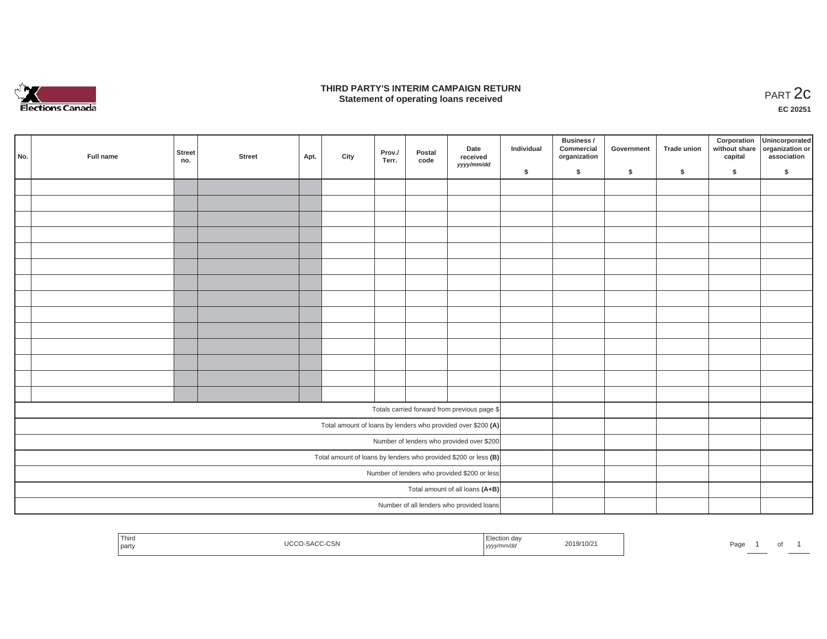

### **THIRD PARTY'S INTERIM CAMPAIGN RETURN**  RD PARTY'S INTERIM CAMPAIGN RETURN<br>Statement of operating loans received **PART 2c**

**EC 20251**

| No. | Full name                                                       | <b>Street</b><br>no. | <b>Street</b> | Apt. | City | Prov./<br>Terr. | Postal<br>code | Date<br>received<br>yyyy/mm/dd                                 | Individual | Business /<br>Commercial<br>organization | Government | Trade union | Corporation<br>capital | Unincorporated<br>without share organization or<br>association |
|-----|-----------------------------------------------------------------|----------------------|---------------|------|------|-----------------|----------------|----------------------------------------------------------------|------------|------------------------------------------|------------|-------------|------------------------|----------------------------------------------------------------|
|     |                                                                 |                      |               |      |      |                 |                |                                                                | \$         | \$                                       | \$         | \$          | \$                     | \$                                                             |
|     |                                                                 |                      |               |      |      |                 |                |                                                                |            |                                          |            |             |                        |                                                                |
|     |                                                                 |                      |               |      |      |                 |                |                                                                |            |                                          |            |             |                        |                                                                |
|     |                                                                 |                      |               |      |      |                 |                |                                                                |            |                                          |            |             |                        |                                                                |
|     |                                                                 |                      |               |      |      |                 |                |                                                                |            |                                          |            |             |                        |                                                                |
|     |                                                                 |                      |               |      |      |                 |                |                                                                |            |                                          |            |             |                        |                                                                |
|     |                                                                 |                      |               |      |      |                 |                |                                                                |            |                                          |            |             |                        |                                                                |
|     |                                                                 |                      |               |      |      |                 |                |                                                                |            |                                          |            |             |                        |                                                                |
|     |                                                                 |                      |               |      |      |                 |                |                                                                |            |                                          |            |             |                        |                                                                |
|     |                                                                 |                      |               |      |      |                 |                |                                                                |            |                                          |            |             |                        |                                                                |
|     |                                                                 |                      |               |      |      |                 |                |                                                                |            |                                          |            |             |                        |                                                                |
|     |                                                                 |                      |               |      |      |                 |                |                                                                |            |                                          |            |             |                        |                                                                |
|     |                                                                 |                      |               |      |      |                 |                |                                                                |            |                                          |            |             |                        |                                                                |
|     |                                                                 |                      |               |      |      |                 |                |                                                                |            |                                          |            |             |                        |                                                                |
|     |                                                                 |                      |               |      |      |                 |                |                                                                |            |                                          |            |             |                        |                                                                |
|     |                                                                 |                      |               |      |      |                 |                | Totals carried forward from previous page \$                   |            |                                          |            |             |                        |                                                                |
|     |                                                                 |                      |               |      |      |                 |                | Total amount of loans by lenders who provided over \$200 $(A)$ |            |                                          |            |             |                        |                                                                |
|     | Number of lenders who provided over \$200                       |                      |               |      |      |                 |                |                                                                |            |                                          |            |             |                        |                                                                |
|     | Total amount of loans by lenders who provided \$200 or less (B) |                      |               |      |      |                 |                |                                                                |            |                                          |            |             |                        |                                                                |
|     |                                                                 |                      |               |      |      |                 |                | Number of lenders who provided \$200 or less                   |            |                                          |            |             |                        |                                                                |
|     |                                                                 |                      |               |      |      |                 |                | Total amount of all loans (A+B)                                |            |                                          |            |             |                        |                                                                |
|     |                                                                 |                      |               |      |      |                 |                | Number of all lenders who provided loans                       |            |                                          |            |             |                        |                                                                |

| $- \cdot$<br>Third<br>$\sim$<br>l party | 2010<br>9/10/2<br>∠∪ i<br>nvac<br>  УУУУ | Page<br>וש |
|-----------------------------------------|------------------------------------------|------------|
|-----------------------------------------|------------------------------------------|------------|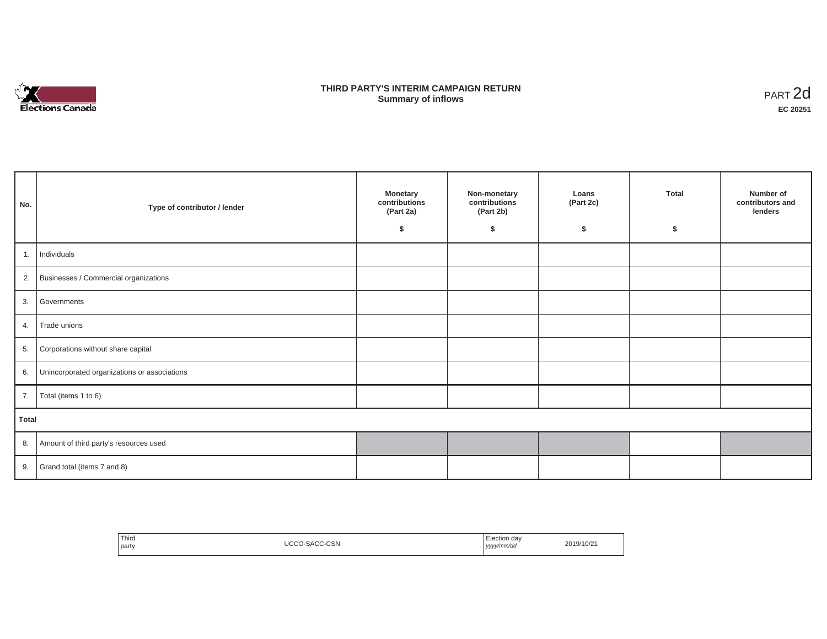

## **THIRD PARTY'S INTERIM CAMPAIGN RETURN SUMMARY STATE SUMMARY OF A SUMMARY OF A SUMMARY OF A SUMMARY OF A SUMMARY OF A SUMMARY OF A SUMMARY OF A SUMMA**<br> **Summary of inflows**

| No.   | Type of contributor / lender                    | <b>Monetary</b><br>contributions<br>(Part 2a)<br>Ŝ. | Non-monetary<br>contributions<br>(Part 2b)<br>\$ | Loans<br>(Part 2c)<br>\$ | <b>Total</b><br>\$. | Number of<br>contributors and<br>lenders |  |
|-------|-------------------------------------------------|-----------------------------------------------------|--------------------------------------------------|--------------------------|---------------------|------------------------------------------|--|
| 1.    | Individuals                                     |                                                     |                                                  |                          |                     |                                          |  |
|       | 2. Businesses / Commercial organizations        |                                                     |                                                  |                          |                     |                                          |  |
|       | 3. Governments                                  |                                                     |                                                  |                          |                     |                                          |  |
| 4.    | Trade unions                                    |                                                     |                                                  |                          |                     |                                          |  |
| 5.    | Corporations without share capital              |                                                     |                                                  |                          |                     |                                          |  |
|       | 6. Unincorporated organizations or associations |                                                     |                                                  |                          |                     |                                          |  |
| 7.    | Total (items 1 to 6)                            |                                                     |                                                  |                          |                     |                                          |  |
| Total |                                                 |                                                     |                                                  |                          |                     |                                          |  |
|       | 8. Amount of third party's resources used       |                                                     |                                                  |                          |                     |                                          |  |
|       | 9. Grand total (items $7$ and $8$ )             |                                                     |                                                  |                          |                     |                                          |  |

| ' Third<br>party | $\sim$<br>JCC<br>نادتا-ت<br>5AU | Election day<br>yyyy/mm/dd<br>. | 2019/10/2 |
|------------------|---------------------------------|---------------------------------|-----------|
|------------------|---------------------------------|---------------------------------|-----------|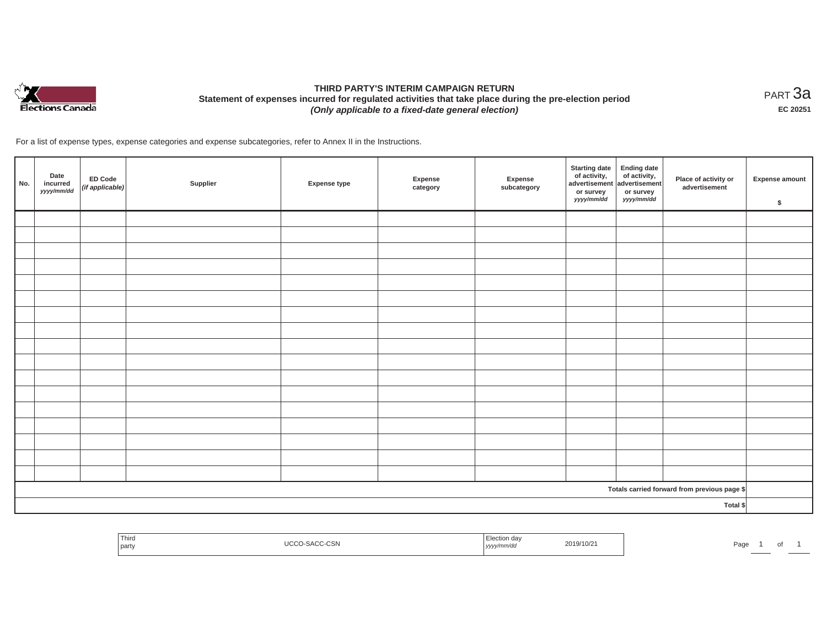

# **THIRD PARTY'S INTERIM CAMPAIGN RETURN Statement of expenses incurred for regulated activities that take place during the pre-election period**  *(Only applicable to a fixed-date general election)*

<code>PART $3$ a</code> **EC 20251**

For a list of expense types, expense categories and expense subcategories, refer to Annex II in the Instructions.

| No. | Date<br>incurred<br>yyyy/mm/dd | <b>ED Code</b><br>$($ if applicable $)$ | Supplier | Expense type | Expense<br>category | Expense<br>subcategory | <b>Starting date</b><br>of activity,<br>advertisement<br>or survey<br>yyyy/mm/dd | <b>Ending date</b><br>of activity,<br>advertisement<br>or survey<br>yyyy/mm/dd | Place of activity or<br>advertisement        | Expense amount<br>$\sqrt[6]{3}$ |
|-----|--------------------------------|-----------------------------------------|----------|--------------|---------------------|------------------------|----------------------------------------------------------------------------------|--------------------------------------------------------------------------------|----------------------------------------------|---------------------------------|
|     |                                |                                         |          |              |                     |                        |                                                                                  |                                                                                |                                              |                                 |
|     |                                |                                         |          |              |                     |                        |                                                                                  |                                                                                |                                              |                                 |
|     |                                |                                         |          |              |                     |                        |                                                                                  |                                                                                |                                              |                                 |
|     |                                |                                         |          |              |                     |                        |                                                                                  |                                                                                |                                              |                                 |
|     |                                |                                         |          |              |                     |                        |                                                                                  |                                                                                |                                              |                                 |
|     |                                |                                         |          |              |                     |                        |                                                                                  |                                                                                |                                              |                                 |
|     |                                |                                         |          |              |                     |                        |                                                                                  |                                                                                |                                              |                                 |
|     |                                |                                         |          |              |                     |                        |                                                                                  |                                                                                |                                              |                                 |
|     |                                |                                         |          |              |                     |                        |                                                                                  |                                                                                |                                              |                                 |
|     |                                |                                         |          |              |                     |                        |                                                                                  |                                                                                |                                              |                                 |
|     |                                |                                         |          |              |                     |                        |                                                                                  |                                                                                |                                              |                                 |
|     |                                |                                         |          |              |                     |                        |                                                                                  |                                                                                |                                              |                                 |
|     |                                |                                         |          |              |                     |                        |                                                                                  |                                                                                |                                              |                                 |
|     |                                |                                         |          |              |                     |                        |                                                                                  |                                                                                |                                              |                                 |
|     |                                |                                         |          |              |                     |                        |                                                                                  |                                                                                |                                              |                                 |
|     |                                |                                         |          |              |                     |                        |                                                                                  |                                                                                |                                              |                                 |
|     |                                |                                         |          |              |                     |                        |                                                                                  |                                                                                |                                              |                                 |
|     |                                |                                         |          |              |                     |                        |                                                                                  |                                                                                | Totals carried forward from previous page \$ |                                 |
|     |                                |                                         |          |              |                     |                        |                                                                                  |                                                                                | Total \$                                     |                                 |

| Third<br>≘tir<br>ı da<br>2019/10/21<br>0.00000<br>Page<br>אוההיהאו<br><i>i</i> party<br>  yyyy/mm/aa<br>ັ |  |
|-----------------------------------------------------------------------------------------------------------|--|
|-----------------------------------------------------------------------------------------------------------|--|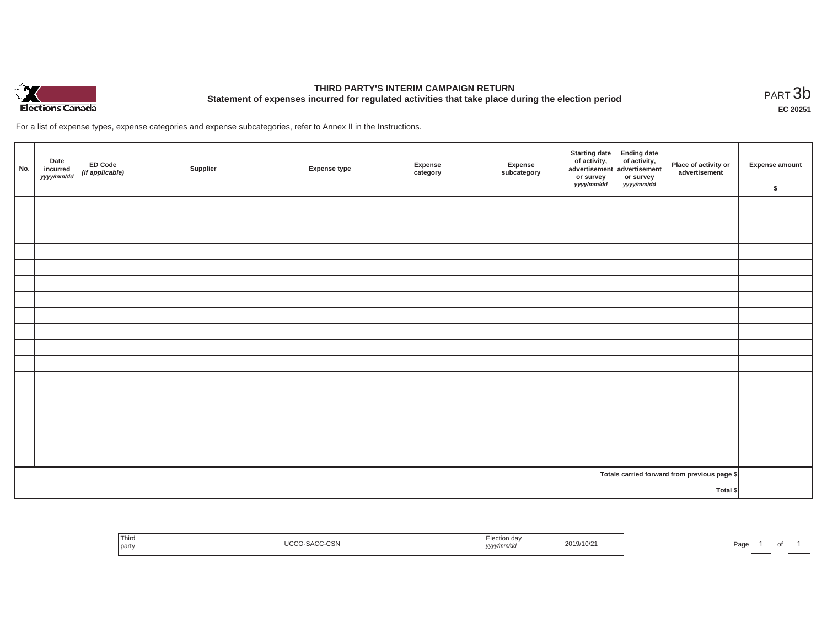

# **THIRD PARTY'S INTERIM CAMPAIGN RETURN Statement of expenses incurred for regulated activities that take place during the election period**<br>PART  $3b$

**EC 20251**

For a list of expense types, expense categories and expense subcategories, refer to Annex II in the Instructions.

| No.      | Date<br>incurred<br>yyyy/mm/dd | ED Code<br>$(i f$ applicable) | Supplier | <b>Expense type</b> | Expense<br>category | Expense<br>subcategory | <b>Starting date</b><br>of activity,<br>advertisement<br>or survey<br>yyyy/mm/dd | Ending date<br>of activity,<br>advertisement<br>or survey<br>yyyy/mm/dd | Place of activity or<br>advertisement        | Expense amount<br>\$ |
|----------|--------------------------------|-------------------------------|----------|---------------------|---------------------|------------------------|----------------------------------------------------------------------------------|-------------------------------------------------------------------------|----------------------------------------------|----------------------|
|          |                                |                               |          |                     |                     |                        |                                                                                  |                                                                         |                                              |                      |
|          |                                |                               |          |                     |                     |                        |                                                                                  |                                                                         |                                              |                      |
|          |                                |                               |          |                     |                     |                        |                                                                                  |                                                                         |                                              |                      |
|          |                                |                               |          |                     |                     |                        |                                                                                  |                                                                         |                                              |                      |
|          |                                |                               |          |                     |                     |                        |                                                                                  |                                                                         |                                              |                      |
|          |                                |                               |          |                     |                     |                        |                                                                                  |                                                                         |                                              |                      |
|          |                                |                               |          |                     |                     |                        |                                                                                  |                                                                         |                                              |                      |
|          |                                |                               |          |                     |                     |                        |                                                                                  |                                                                         |                                              |                      |
|          |                                |                               |          |                     |                     |                        |                                                                                  |                                                                         |                                              |                      |
|          |                                |                               |          |                     |                     |                        |                                                                                  |                                                                         |                                              |                      |
|          |                                |                               |          |                     |                     |                        |                                                                                  |                                                                         |                                              |                      |
|          |                                |                               |          |                     |                     |                        |                                                                                  |                                                                         |                                              |                      |
|          |                                |                               |          |                     |                     |                        |                                                                                  |                                                                         |                                              |                      |
|          |                                |                               |          |                     |                     |                        |                                                                                  |                                                                         |                                              |                      |
|          |                                |                               |          |                     |                     |                        |                                                                                  |                                                                         |                                              |                      |
|          |                                |                               |          |                     |                     |                        |                                                                                  |                                                                         |                                              |                      |
|          |                                |                               |          |                     |                     |                        |                                                                                  |                                                                         |                                              |                      |
|          |                                |                               |          |                     |                     |                        |                                                                                  |                                                                         | Totals carried forward from previous page \$ |                      |
| Total \$ |                                |                               |          |                     |                     |                        |                                                                                  |                                                                         |                                              |                      |

| Third<br>the control of the con-<br>I party | J-SACC-CSN | Election day<br>2019/10/2<br>yyyy/mm/dd | Pagr<br>$\cdot$ |
|---------------------------------------------|------------|-----------------------------------------|-----------------|
|---------------------------------------------|------------|-----------------------------------------|-----------------|